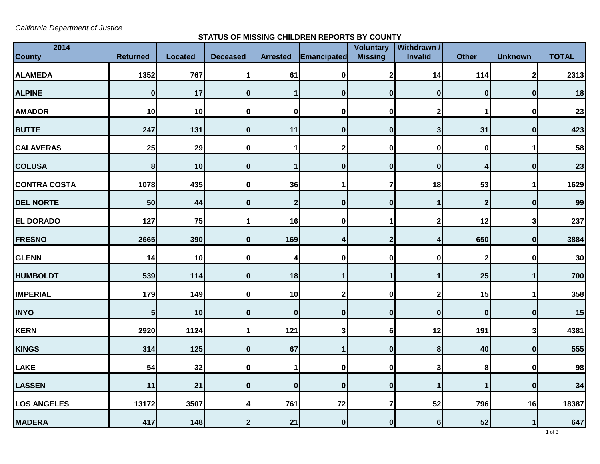*California Department of Justice*

**STATUS OF MISSING CHILDREN REPORTS BY COUNTY**

| 2014<br><b>County</b> | <b>Returned</b> | <b>Located</b> | <b>Deceased</b>  | <b>Arrested</b> | Emancipated      | Voluntary<br><b>Missing</b> | <b>Withdrawn /</b><br>Invalid | <b>Other</b> | <b>Unknown</b> | <b>TOTAL</b> |
|-----------------------|-----------------|----------------|------------------|-----------------|------------------|-----------------------------|-------------------------------|--------------|----------------|--------------|
| <b>ALAMEDA</b>        | 1352            | 767            | 1                | 61              | $\bf{0}$         | $\mathbf{2}$                | 14                            | 114          | 2              | 2313         |
| <b>ALPINE</b>         | $\mathbf 0$     | 17             | $\mathbf{0}$     |                 | $\mathbf 0$      | $\mathbf{0}$                | $\bf{0}$                      | $\bf{0}$     | $\bf{0}$       | 18           |
| <b>AMADOR</b>         | 10              | 10             | $\mathbf 0$      | $\bf{0}$        | 0                | 0                           | $\overline{2}$                |              | $\bf{0}$       | 23           |
| <b>BUTTE</b>          | 247             | 131            | $\mathbf{0}$     | 11              | $\mathbf 0$      | $\mathbf{0}$                | $\mathbf{3}$                  | 31           | $\mathbf 0$    | 423          |
| <b>CALAVERAS</b>      | 25              | 29             | $\bf{0}$         |                 | $\mathbf{2}$     | $\mathbf{0}$                | $\bf{0}$                      | $\bf{0}$     | 1              | 58           |
| <b>COLUSA</b>         | $\bf 8$         | 10             | $\boldsymbol{0}$ |                 | $\mathbf 0$      | $\boldsymbol{0}$            | $\bf{0}$                      | 4            | $\mathbf 0$    | 23           |
| <b>CONTRA COSTA</b>   | 1078            | 435            | $\pmb{0}$        | 36              | 1                | 7                           | 18                            | 53           | 1              | 1629         |
| <b>DEL NORTE</b>      | 50              | 44             | $\bf{0}$         | $\mathbf{2}$    | $\bf{0}$         | $\mathbf{0}$                | 1                             | $\mathbf{2}$ | $\bf{0}$       | 99           |
| <b>EL DORADO</b>      | 127             | 75             | 1                | 16              | 0                |                             | $\overline{2}$                | 12           | 3              | 237          |
| <b>FRESNO</b>         | 2665            | 390            | $\mathbf{0}$     | 169             |                  | $\overline{2}$              | 4                             | 650          | $\mathbf 0$    | 3884         |
| <b>GLENN</b>          | 14              | 10             | $\bf{0}$         |                 | $\bf{0}$         | $\mathbf 0$                 | 0                             | 2            | 0              | 30           |
| <b>HUMBOLDT</b>       | 539             | 114            | $\pmb{0}$        | 18              | 1                | 1                           | $\mathbf 1$                   | 25           | $\mathbf{1}$   | 700          |
| <b>IMPERIAL</b>       | 179             | 149            | $\mathbf 0$      | 10              | $\mathbf{2}$     | $\mathbf{0}$                | $\mathbf{2}$                  | 15           | 1              | 358          |
| <b>INYO</b>           | 5 <sub>l</sub>  | 10             | $\pmb{0}$        | $\bf{0}$        | $\bf{0}$         | $\boldsymbol{0}$            | $\bf{0}$                      | $\bf{0}$     | $\bf{0}$       | 15           |
| <b>KERN</b>           | 2920            | 1124           | 1                | 121             | 3                | 6 <sup>1</sup>              | 12                            | 191          | 3              | 4381         |
| <b>KINGS</b>          | 314             | 125            | $\boldsymbol{0}$ | 67              | $\mathbf 1$      | $\mathbf{0}$                | 8                             | 40           | $\mathbf 0$    | 555          |
| <b>LAKE</b>           | 54              | 32             | $\pmb{0}$        |                 | 0                | $\mathbf{0}$                | 3                             | 8            | 0              | 98           |
| <b>LASSEN</b>         | 11              | 21             | $\boldsymbol{0}$ | $\mathbf 0$     | $\mathbf 0$      | 0                           | 1                             | 1            | $\mathbf 0$    | 34           |
| <b>LOS ANGELES</b>    | 13172           | 3507           | 4                | 761             | 72               | $\overline{7}$              | 52                            | 796          | 16             | 18387        |
| <b>MADERA</b>         | 417             | 148            | $\mathbf{2}$     | 21              | $\boldsymbol{0}$ | $\mathbf{0}$                | $6\phantom{1}$                | 52           | $\mathbf{1}$   | 647          |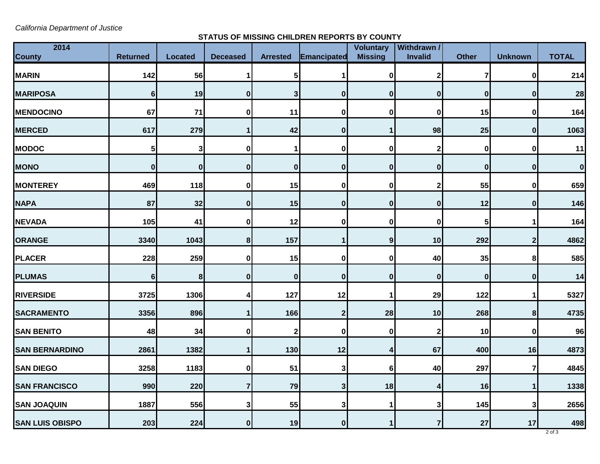*California Department of Justice*

**STATUS OF MISSING CHILDREN REPORTS BY COUNTY**

| 2014                   | <b>Returned</b> | <b>Located</b> | <b>Deceased</b> | <b>Arrested</b> | Emancipated  | <b>Voluntary</b><br><b>Missing</b> | Withdrawn /<br>Invalid | <b>Other</b> | <b>Unknown</b> | <b>TOTAL</b> |
|------------------------|-----------------|----------------|-----------------|-----------------|--------------|------------------------------------|------------------------|--------------|----------------|--------------|
| <b>County</b>          |                 |                |                 |                 |              |                                    |                        |              |                |              |
| <b>MARIN</b>           | 142             | 56             | 1               | 5               |              | $\mathbf{0}$                       | $\mathbf{2}$           | 7            | 0              | 214          |
| <b>MARIPOSA</b>        | $6\phantom{1}$  | 19             | $\mathbf{0}$    | 3               | $\mathbf 0$  | $\boldsymbol{0}$                   | $\bf{0}$               | $\mathbf{0}$ | $\mathbf 0$    | 28           |
| <b>MENDOCINO</b>       | 67              | $71$           | $\bf{0}$        | 11              | $\bf{0}$     | 0                                  | $\bf{0}$               | 15           | 0              | 164          |
| <b>MERCED</b>          | 617             | 279            | $\mathbf{1}$    | 42              | $\bf{0}$     |                                    | 98                     | 25           | $\mathbf 0$    | 1063         |
| <b>MODOC</b>           | 5               | 3 <sup>1</sup> | $\bf{0}$        |                 | 0            | $\mathbf{0}$                       | $\mathbf{2}$           | $\mathbf 0$  | 0              | 11           |
| <b>MONO</b>            | $\mathbf 0$     | $\mathbf{0}$   | $\pmb{0}$       | $\bf{0}$        | $\bf{0}$     | $\mathbf{0}$                       | $\bf{0}$               | $\mathbf 0$  | $\bf{0}$       | $\bf{0}$     |
| <b>MONTEREY</b>        | 469             | 118            | $\mathbf 0$     | 15              | 0            | $\bf{0}$                           | $\mathbf{2}$           | 55           | 0              | 659          |
| <b>NAPA</b>            | 87              | 32             | $\pmb{0}$       | 15              | $\bf{0}$     | $\mathbf{0}$                       | $\bf{0}$               | 12           | $\bf{0}$       | 146          |
| <b>NEVADA</b>          | 105             | 41             | $\mathbf 0$     | 12              | 0            | $\bf{0}$                           | 0                      | 5            | 1              | 164          |
| <b>ORANGE</b>          | 3340            | 1043           | 8               | 157             |              | 9                                  | 10                     | 292          | $\mathbf 2$    | 4862         |
| <b>PLACER</b>          | 228             | 259            | $\pmb{0}$       | 15              | 0            | $\mathbf{0}$                       | 40                     | 35           | 8              | 585          |
| <b>PLUMAS</b>          | $6 \mid$        | 8 <sup>1</sup> | $\pmb{0}$       | $\bf{0}$        | $\bf{0}$     | $\mathbf{0}$                       | $\bf{0}$               | $\bf{0}$     | $\bf{0}$       | 14           |
| <b>RIVERSIDE</b>       | 3725            | 1306           | 4               | 127             | 12           |                                    | 29                     | 122          | 1              | 5327         |
| <b>SACRAMENTO</b>      | 3356            | 896            | $\mathbf{1}$    | 166             | $\mathbf{2}$ | 28                                 | 10                     | 268          | 8 <sup>1</sup> | 4735         |
| <b>SAN BENITO</b>      | 48              | 34             | 0               | $\mathbf 2$     | 0            | $\mathbf{0}$                       | 2                      | 10           | 0              | 96           |
| <b>SAN BERNARDINO</b>  | 2861            | 1382           | $\mathbf{1}$    | 130             | 12           | 4                                  | 67                     | 400          | 16             | 4873         |
| <b>SAN DIEGO</b>       | 3258            | 1183           | $\pmb{0}$       | 51              | 3            | 6 <sup>1</sup>                     | 40                     | 297          | 7              | 4845         |
| <b>SAN FRANCISCO</b>   | 990             | 220            | $\overline{7}$  | 79              | $\mathbf{3}$ | 18                                 | 4                      | 16           | 1              | 1338         |
| <b>SAN JOAQUIN</b>     | 1887            | 556            | 3               | 55              | 3            |                                    | 3                      | 145          | 3              | 2656         |
| <b>SAN LUIS OBISPO</b> | 203             | 224            | $\mathbf{0}$    | 19              | $\mathbf{0}$ | $\mathbf{1}$                       | 7                      | 27           | 17             | 498          |